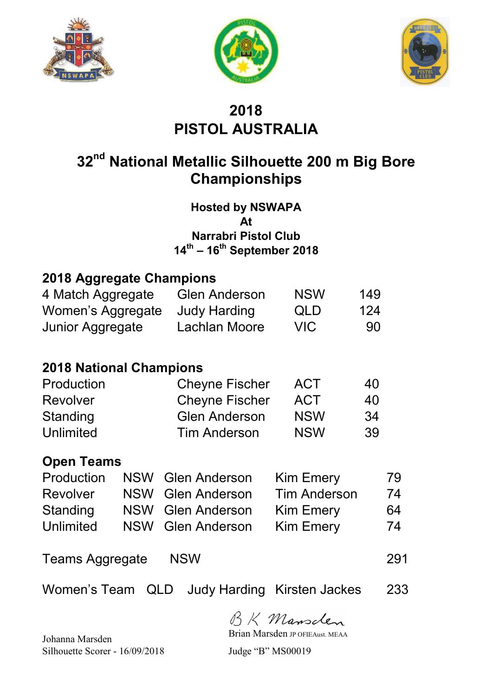





# **2018 PISTOL AUSTRALIA**

# **32nd National Metallic Silhouette 200 m Big Bore Championships**

**Hosted by NSWAPA At Narrabri Pistol Club 14th – 16th September 2018** 

| 2018 Aggregate Champions |                     |
|--------------------------|---------------------|
| 4 Match Aggregate        | <b>Glen Anderso</b> |

| 4 Match Aggregate | <b>Glen Anderson</b> | <b>NSW</b> | 149 |
|-------------------|----------------------|------------|-----|
| Women's Aggregate | Judy Harding         | <b>QLD</b> | 124 |
| Junior Aggregate  | Lachlan Moore        | VIC.       | 90  |

## **2018 National Champions**

| Production      | <b>Cheyne Fischer</b> | <b>ACT</b> | 40 |
|-----------------|-----------------------|------------|----|
| <b>Revolver</b> | <b>Cheyne Fischer</b> | <b>ACT</b> | 40 |
| Standing        | <b>Glen Anderson</b>  | <b>NSW</b> | 34 |
| Unlimited       | <b>Tim Anderson</b>   | <b>NSW</b> | 39 |

## **Open Teams**

| Production       | NSW Glen Anderson | <b>Kim Emery</b>    | 79 |
|------------------|-------------------|---------------------|----|
| <b>Revolver</b>  | NSW Glen Anderson | <b>Tim Anderson</b> | 74 |
| Standing         | NSW Glen Anderson | <b>Kim Emery</b>    | 64 |
| <b>Unlimited</b> | NSW Glen Anderson | <b>Kim Emery</b>    | 74 |
|                  |                   |                     |    |

Teams Aggregate NSW 291

Women's Team QLD Judy Harding Kirsten Jackes 233

BK Mansclen

Brian Marsden JP OFIEAust. MEAA

Johanna Marsden Silhouette Scorer - 16/09/2018 Judge "B" MS00019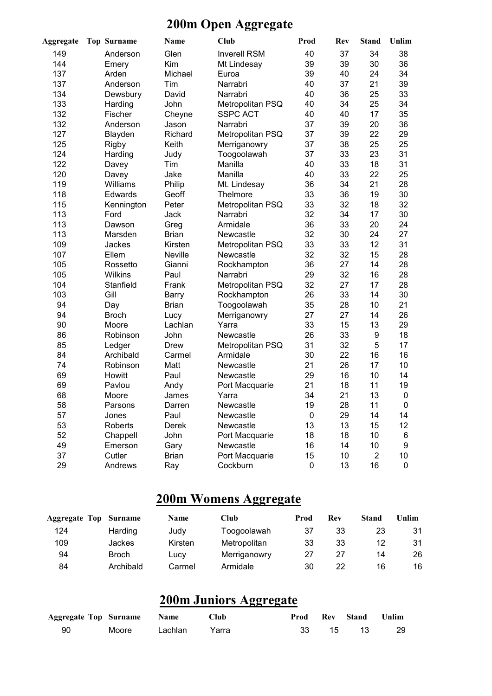# **200m Open Aggregate**

| <b>Aggregate</b> | <b>Top Surname</b> | <b>Name</b>  | <b>Club</b>         | <b>Stand</b><br>Prod<br><b>Rev</b> |    | Unlim            |             |
|------------------|--------------------|--------------|---------------------|------------------------------------|----|------------------|-------------|
| 149              | Anderson           | Glen         | <b>Inverell RSM</b> | 40                                 | 37 | 34               | 38          |
| 144              | Emery              | Kim          | Mt Lindesay         | 39                                 | 39 | 30               | 36          |
| 137              | Arden              | Michael      | Euroa               | 39                                 | 40 | 24               | 34          |
| 137              | Anderson           | Tim          | Narrabri            | 40                                 | 37 | 21               | 39          |
| 134              | Dewsbury           | David        | Narrabri            | 40                                 | 36 | 25               | 33          |
| 133              | Harding            | John         | Metropolitan PSQ    | 40                                 | 34 | 25               | 34          |
| 132              | Fischer            | Cheyne       | <b>SSPC ACT</b>     | 40                                 | 40 | 17               | 35          |
| 132              | Anderson           | Jason        | Narrabri            | 37                                 | 39 | 20               | 36          |
| 127              | Blayden            | Richard      | Metropolitan PSQ    | 37                                 | 39 | 22               | 29          |
| 125              | <b>Rigby</b>       | Keith        | Merriganowry        | 37                                 | 38 | 25               | 25          |
| 124              | Harding            | Judy         | Toogoolawah         | 37                                 | 33 | 23               | 31          |
| 122              | Davey              | Tim          | Manilla             | 40                                 | 33 | 18               | 31          |
| 120              | Davey              | Jake         | Manilla             | 40                                 | 33 | 22               | 25          |
| 119              | Williams           | Philip       | Mt. Lindesay        | 36                                 | 34 | 21               | 28          |
| 118              | Edwards            | Geoff        | Thelmore            | 33                                 | 36 | 19               | 30          |
| 115              | Kennington         | Peter        | Metropolitan PSQ    | 33                                 | 32 | 18               | 32          |
| 113              | Ford               | Jack         | Narrabri            | 32                                 | 34 | 17               | 30          |
| 113              | Dawson             | Greg         | Armidale            | 36                                 | 33 | 20               | 24          |
| 113              | Marsden            | <b>Brian</b> | Newcastle           | 32                                 | 30 | 24               | 27          |
| 109              | Jackes             | Kirsten      | Metropolitan PSQ    | 33                                 | 33 | 12               | 31          |
| 107              | Ellem              | Neville      | Newcastle           | 32                                 | 32 | 15               | 28          |
| 105              | Rossetto           | Gianni       | Rockhampton         | 36                                 | 27 | 14               | 28          |
| 105              | Wilkins            | Paul         | Narrabri            | 29                                 | 32 | 16               | 28          |
| 104              | Stanfield          | Frank        | Metropolitan PSQ    | 32                                 | 27 | 17               | 28          |
| 103              | Gill               | Barry        | Rockhampton         | 26                                 | 33 | 14               | 30          |
| 94               | Day                | <b>Brian</b> | Toogoolawah         | 35                                 | 28 | 10               | 21          |
| 94               | <b>Broch</b>       | Lucy         | Merriganowry        | 27                                 | 27 | 14               | 26          |
| 90               | Moore              | Lachlan      | Yarra               | 33                                 | 15 | 13               | 29          |
| 86               | Robinson           | John         | Newcastle           | 26                                 | 33 | $\boldsymbol{9}$ | 18          |
| 85               | Ledger             | Drew         | Metropolitan PSQ    | 31                                 | 32 | 5                | 17          |
| 84               | Archibald          | Carmel       | Armidale            | 30                                 | 22 | 16               | 16          |
| 74               | Robinson           | Matt         | Newcastle           | 21                                 | 26 | 17               | 10          |
| 69               | Howitt             | Paul         | Newcastle           | 29                                 | 16 | 10               | 14          |
| 69               | Pavlou             | Andy         | Port Macquarie      | 21                                 | 18 | 11               | 19          |
| 68               | Moore              | James        | Yarra               | 34                                 | 21 | 13               | $\mathbf 0$ |
| 58               | Parsons            | Darren       | Newcastle           | 19                                 | 28 | 11               | $\pmb{0}$   |
| 57               | Jones              | Paul         | Newcastle           | 0                                  | 29 | 14               | 14          |
| 53               | Roberts            | <b>Derek</b> | Newcastle           | 13                                 | 13 | 15               | 12          |
| 52               | Chappell           | John         | Port Macquarie      | 18                                 | 18 | 10               | 6           |
| 49               | Emerson            | Gary         | Newcastle           | 16                                 | 14 | 10               | 9           |
| 37               | Cutler             | <b>Brian</b> | Port Macquarie      | 15                                 | 10 | $\overline{2}$   | 10          |
| 29               | Andrews            | Ray          | Cockburn            | $\pmb{0}$                          | 13 | 16               | 0           |

# **200m Womens Aggregate**

| <b>Aggregate Top</b> | Surname      | Name    | Club         | Prod | Rev | Stand | ∐nlim |
|----------------------|--------------|---------|--------------|------|-----|-------|-------|
| 124                  | Harding      | Judy    | Toogoolawah  | 37   | 33  | 23    | 31    |
| 109                  | Jackes       | Kirsten | Metropolitan | 33   | 33  | 12    | 31    |
| 94                   | <b>Broch</b> | Lucy    | Merriganowry | 27   | 27  | 14    | 26    |
| 84                   | Archibald    | Carmel  | Armidale     | 30   | 22  | 16    | 16    |

# **200m Juniors Aggregate**

| <b>Aggregate Top Surname</b> Name |                     | - Club |    |    | Prod Rev Stand Unlim |    |
|-----------------------------------|---------------------|--------|----|----|----------------------|----|
| 90                                | Moore Lachlan Yarra |        | 33 | 15 | $\overline{13}$      | 29 |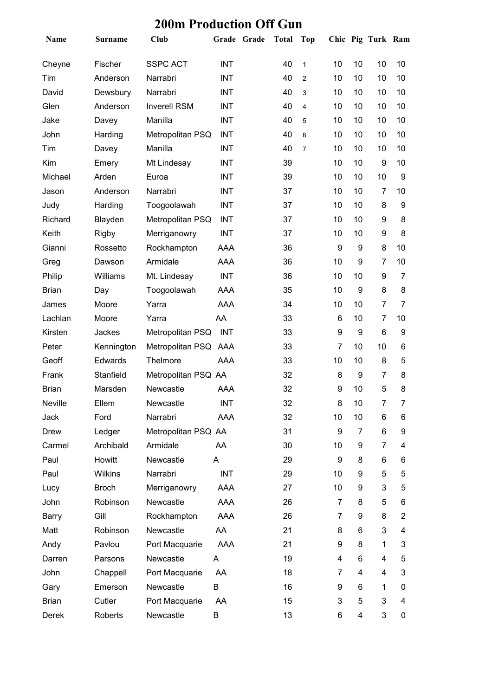| Name         | Surname        | Club                 |            | Grade Grade | <b>Total</b> | <b>Top</b>     |                |                 | Chic Pig Turk Ram |                |
|--------------|----------------|----------------------|------------|-------------|--------------|----------------|----------------|-----------------|-------------------|----------------|
| Cheyne       | Fischer        | <b>SSPC ACT</b>      | <b>INT</b> |             | 40           | $\mathbf{1}$   | 10             | 10              | 10                | 10             |
| Tim          | Anderson       | Narrabri             | <b>INT</b> |             | 40           | 2              | 10             | 10              | 10                | 10             |
| David        | Dewsbury       | Narrabri             | <b>INT</b> |             | 40           | 3              | 10             | 10              | 10                | 10             |
| Glen         | Anderson       | <b>Inverell RSM</b>  | <b>INT</b> |             | 40           | $\overline{4}$ | 10             | 10              | 10                | 10             |
| Jake         | Davey          | Manilla              | <b>INT</b> |             | 40           | 5              | 10             | 10              | 10                | 10             |
| John         | Harding        | Metropolitan PSQ     | <b>INT</b> |             | 40           | 6              | 10             | 10              | 10                | 10             |
| Tim          | Davey          | Manilla              | <b>INT</b> |             | 40           | $\overline{7}$ | 10             | 10              | 10                | 10             |
| Kim          | Emery          | Mt Lindesay          | <b>INT</b> |             | 39           |                | 10             | 10              | 9                 | 10             |
| Michael      | Arden          | Euroa                | <b>INT</b> |             | 39           |                | 10             | 10              | 10                | 9              |
| Jason        | Anderson       | Narrabri             | <b>INT</b> |             | 37           |                | 10             | 10              | 7                 | 10             |
| Judy         | Harding        | Toogoolawah          | <b>INT</b> |             | 37           |                | 10             | 10              | 8                 | 9              |
| Richard      | Blayden        | Metropolitan PSQ     | <b>INT</b> |             | 37           |                | 10             | 10              | 9                 | 8              |
| Keith        | <b>Rigby</b>   | Merriganowry         | <b>INT</b> |             | 37           |                | 10             | 10              | 9                 | 8              |
| Gianni       | Rossetto       | Rockhampton          | <b>AAA</b> |             | 36           |                | 9              | 9               | 8                 | 10             |
| Greg         | Dawson         | Armidale             | <b>AAA</b> |             | 36           |                | 10             | 9               | $\overline{7}$    | 10             |
| Philip       | Williams       | Mt. Lindesay         | <b>INT</b> |             | 36           |                | 10             | 10              | 9                 | $\overline{7}$ |
| <b>Brian</b> | Day            | Toogoolawah          | AAA        |             | 35           |                | 10             | 9               | 8                 | 8              |
| James        | Moore          | Yarra                | <b>AAA</b> |             | 34           |                | 10             | 10              | $\overline{7}$    | $\overline{7}$ |
| Lachlan      | Moore          | Yarra                | AA         |             | 33           |                | 6              | 10              | 7                 | 10             |
| Kirsten      | Jackes         | Metropolitan PSQ     | <b>INT</b> |             | 33           |                | 9              | 9               | 6                 | 9              |
| Peter        | Kennington     | Metropolitan PSQ AAA |            |             | 33           |                | $\overline{7}$ | 10              | 10                | 6              |
| Geoff        | <b>Edwards</b> | Thelmore             | <b>AAA</b> |             | 33           |                | 10             | 10              | 8                 | 5              |
| Frank        | Stanfield      | Metropolitan PSQ AA  |            |             | 32           |                | 8              | 9               | 7                 | 8              |
| <b>Brian</b> | Marsden        | Newcastle            | AAA        |             | 32           |                | 9              | 10              | 5                 | 8              |
| Neville      | Ellem          | Newcastle            | <b>INT</b> |             | 32           |                | 8              | 10 <sup>°</sup> | $\overline{7}$    | $\overline{7}$ |
| Jack         | Ford           | Narrabri             | AAA        |             | 32           |                | 10             | 10              | 6                 | 6              |
| Drew         | Ledger         | Metropolitan PSQ AA  |            |             | 31           |                | 9              | 7               | 6                 | 9              |
| Carmel       | Archibald      | Armidale             | AA         |             | 30           |                | 10             | 9               | 7                 | 4              |
| Paul         | Howitt         | Newcastle            | A          |             | 29           |                | 9              | 8               | 6                 | 6              |
| Paul         | <b>Wilkins</b> | Narrabri             | <b>INT</b> |             | 29           |                | 10             | 9               | 5                 | 5              |
| Lucy         | <b>Broch</b>   | Merriganowry         | AAA        |             | 27           |                | 10             | 9               | 3                 | 5              |
| John         | Robinson       | Newcastle            | AAA        |             | 26           |                | $\overline{7}$ | 8               | 5                 | 6              |
| Barry        | Gill           | Rockhampton          | AAA        |             | 26           |                | $\overline{7}$ | 9               | 8                 | 2              |
| Matt         | Robinson       | Newcastle            | AA         |             | 21           |                | 8              | 6               | 3                 | 4              |
| Andy         | Pavlou         | Port Macquarie       | AAA        |             | 21           |                | 9              | 8               | 1                 | 3              |
| Darren       | Parsons        | Newcastle            | A          |             | 19           |                | 4              | 6               | 4                 | 5              |
| John         | Chappell       | Port Macquarie       | AA         |             | 18           |                | 7              | 4               | 4                 | 3              |
| Gary         | Emerson        | Newcastle            | B          |             | 16           |                | 9              | 6               | 1                 | 0              |
| <b>Brian</b> | Cutler         | Port Macquarie       | AA         |             | 15           |                | 3              | 5               | 3                 | 4              |
| Derek        | Roberts        | Newcastle            | В          |             | 13           |                | 6              | 4               | 3                 | 0              |

### **200m Production Off Gun**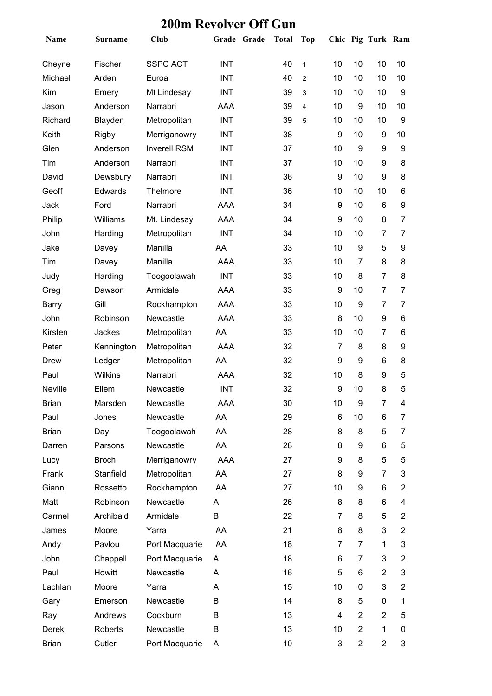| Name         | Surname      | Club                |            | Grade Grade | <b>Total</b> | <b>Top</b>     |    |                | Chic Pig Turk Ram |                |
|--------------|--------------|---------------------|------------|-------------|--------------|----------------|----|----------------|-------------------|----------------|
| Cheyne       | Fischer      | <b>SSPC ACT</b>     | <b>INT</b> |             | 40           | $\mathbf{1}$   | 10 | 10             | 10                | 10             |
| Michael      | Arden        | Euroa               | <b>INT</b> |             | 40           | $\overline{2}$ | 10 | 10             | 10                | 10             |
| Kim          | Emery        | Mt Lindesay         | <b>INT</b> |             | 39           | 3              | 10 | 10             | 10                | 9              |
| Jason        | Anderson     | Narrabri            | <b>AAA</b> |             | 39           | $\overline{4}$ | 10 | 9              | 10                | 10             |
| Richard      | Blayden      | Metropolitan        | <b>INT</b> |             | 39           | 5              | 10 | 10             | 10                | 9              |
| Keith        | Rigby        | Merriganowry        | <b>INT</b> |             | 38           |                | 9  | 10             | 9                 | 10             |
| Glen         | Anderson     | <b>Inverell RSM</b> | <b>INT</b> |             | 37           |                | 10 | 9              | 9                 | 9              |
| Tim          | Anderson     | Narrabri            | <b>INT</b> |             | 37           |                | 10 | 10             | 9                 | 8              |
| David        | Dewsbury     | Narrabri            | <b>INT</b> |             | 36           |                | 9  | 10             | 9                 | 8              |
| Geoff        | Edwards      | Thelmore            | <b>INT</b> |             | 36           |                | 10 | 10             | 10                | 6              |
| Jack         | Ford         | Narrabri            | <b>AAA</b> |             | 34           |                | 9  | 10             | 6                 | 9              |
| Philip       | Williams     | Mt. Lindesay        | <b>AAA</b> |             | 34           |                | 9  | 10             | 8                 | $\overline{7}$ |
| John         | Harding      | Metropolitan        | <b>INT</b> |             | 34           |                | 10 | 10             | 7                 | 7              |
| Jake         | Davey        | Manilla             | AA         |             | 33           |                | 10 | 9              | 5                 | 9              |
| Tim          | Davey        | Manilla             | <b>AAA</b> |             | 33           |                | 10 | 7              | 8                 | 8              |
| Judy         | Harding      | Toogoolawah         | <b>INT</b> |             | 33           |                | 10 | 8              | 7                 | 8              |
| Greg         | Dawson       | Armidale            | <b>AAA</b> |             | 33           |                | 9  | 10             | $\overline{7}$    | $\overline{7}$ |
| Barry        | Gill         | Rockhampton         | <b>AAA</b> |             | 33           |                | 10 | 9              | $\overline{7}$    | $\overline{7}$ |
| John         | Robinson     | Newcastle           | <b>AAA</b> |             | 33           |                | 8  | 10             | 9                 | 6              |
| Kirsten      | Jackes       | Metropolitan        | AA         |             | 33           |                | 10 | 10             | 7                 | 6              |
| Peter        | Kennington   | Metropolitan        | <b>AAA</b> |             | 32           |                | 7  | 8              | 8                 | 9              |
| Drew         | Ledger       | Metropolitan        | AA         |             | 32           |                | 9  | 9              | 6                 | 8              |
| Paul         | Wilkins      | Narrabri            | <b>AAA</b> |             | 32           |                | 10 | 8              | 9                 | 5              |
| Neville      | Ellem        | Newcastle           | <b>INT</b> |             | 32           |                | 9  | 10             | 8                 | 5              |
| <b>Brian</b> | Marsden      | Newcastle           | AAA        |             | 30           |                | 10 | 9              | 7                 | 4              |
| Paul         | Jones        | Newcastle           | AA         |             | 29           |                | 6  | 10             | 6                 | 7              |
| <b>Brian</b> | Day          | Toogoolawah         | AA         |             | 28           |                | 8  | 8              | 5                 | 7              |
| Darren       | Parsons      | Newcastle           | AA         |             | 28           |                | 8  | 9              | 6                 | 5              |
| Lucy         | <b>Broch</b> | Merriganowry        | AAA        |             | 27           |                | 9  | 8              | 5                 | 5              |
| Frank        | Stanfield    | Metropolitan        | AA         |             | 27           |                | 8  | 9              | $\overline{7}$    | 3              |
| Gianni       | Rossetto     | Rockhampton         | AA         |             | 27           |                | 10 | 9              | 6                 | $\overline{c}$ |
| Matt         | Robinson     | Newcastle           | A          |             | 26           |                | 8  | 8              | 6                 | 4              |
| Carmel       | Archibald    | Armidale            | B          |             | 22           |                | 7  | 8              | 5                 | 2              |
| James        | Moore        | Yarra               | AA         |             | 21           |                | 8  | 8              | 3                 | $\overline{2}$ |
| Andy         | Pavlou       | Port Macquarie      | AA         |             | 18           |                | 7  | 7              | $\mathbf{1}$      | 3              |
| John         | Chappell     | Port Macquarie      | A          |             | 18           |                | 6  | 7              | 3                 | $\overline{2}$ |
| Paul         | Howitt       | Newcastle           | A          |             | 16           |                | 5  | 6              | 2                 | 3              |
| Lachlan      | Moore        | Yarra               | A          |             | 15           |                | 10 | 0              | 3                 | $\overline{2}$ |
| Gary         | Emerson      | Newcastle           | B          |             | 14           |                | 8  | 5              | 0                 | 1              |
| Ray          | Andrews      | Cockburn            | B          |             | 13           |                | 4  | 2              | $\overline{2}$    | 5              |
| Derek        | Roberts      | Newcastle           | B          |             | 13           |                | 10 | $\overline{2}$ | 1                 | 0              |
| <b>Brian</b> | Cutler       | Port Macquarie      | A          |             | 10           |                | 3  | $\overline{2}$ | $\overline{2}$    | 3              |

### **200m Revolver Off Gun**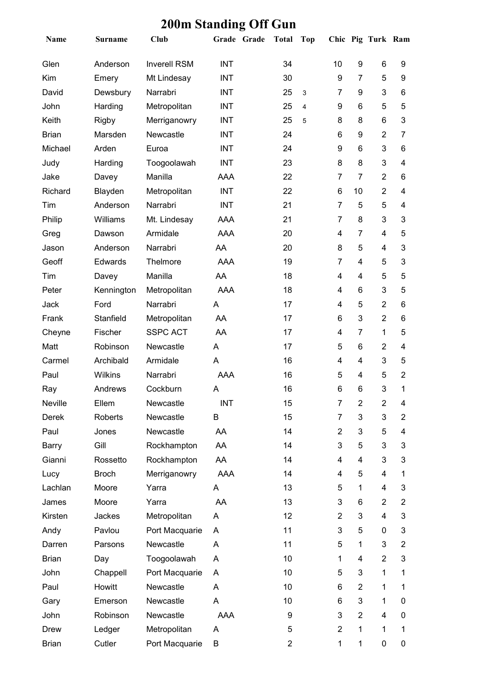| Name         | <b>Surname</b> | <b>Club</b>         | Grade Grade | Total          | Top         |                |                | Chic Pig Turk Ram |                |
|--------------|----------------|---------------------|-------------|----------------|-------------|----------------|----------------|-------------------|----------------|
| Glen         | Anderson       | <b>Inverell RSM</b> | <b>INT</b>  | 34             |             | 10             | 9              | 6                 | 9              |
| Kim          | Emery          | Mt Lindesay         | <b>INT</b>  | 30             |             | 9              | $\overline{7}$ | 5                 | 9              |
| David        | Dewsbury       | Narrabri            | <b>INT</b>  | 25             | $\mathsf 3$ | $\overline{7}$ | 9              | 3                 | 6              |
| John         | Harding        | Metropolitan        | <b>INT</b>  | 25             | 4           | 9              | 6              | 5                 | 5              |
| Keith        | Rigby          | Merriganowry        | <b>INT</b>  | 25             | 5           | 8              | 8              | 6                 | 3              |
| <b>Brian</b> | Marsden        | Newcastle           | <b>INT</b>  | 24             |             | 6              | 9              | $\overline{2}$    | $\overline{7}$ |
| Michael      | Arden          | Euroa               | <b>INT</b>  | 24             |             | 9              | 6              | 3                 | 6              |
| Judy         | Harding        | Toogoolawah         | <b>INT</b>  | 23             |             | 8              | 8              | 3                 | $\overline{4}$ |
| Jake         | Davey          | Manilla             | <b>AAA</b>  | 22             |             | $\overline{7}$ | $\overline{7}$ | $\overline{2}$    | 6              |
| Richard      | Blayden        | Metropolitan        | <b>INT</b>  | 22             |             | 6              | 10             | $\overline{2}$    | 4              |
| Tim          | Anderson       | Narrabri            | <b>INT</b>  | 21             |             | 7              | 5              | 5                 | 4              |
| Philip       | Williams       | Mt. Lindesay        | <b>AAA</b>  | 21             |             | $\overline{7}$ | 8              | 3                 | 3              |
| Greg         | Dawson         | Armidale            | <b>AAA</b>  | 20             |             | 4              | $\overline{7}$ | 4                 | 5              |
| Jason        | Anderson       | Narrabri            | AA          | 20             |             | 8              | 5              | 4                 | 3              |
| Geoff        | Edwards        | Thelmore            | <b>AAA</b>  | 19             |             | $\overline{7}$ | $\overline{4}$ | 5                 | 3              |
| Tim          | Davey          | Manilla             | AA          | 18             |             | 4              | 4              | 5                 | 5              |
| Peter        | Kennington     | Metropolitan        | <b>AAA</b>  | 18             |             | 4              | 6              | 3                 | 5              |
| Jack         | Ford           | Narrabri            | A           | 17             |             | 4              | 5              | $\overline{2}$    | 6              |
| Frank        | Stanfield      | Metropolitan        | AA          | 17             |             | 6              | 3              | $\overline{2}$    | 6              |
| Cheyne       | Fischer        | <b>SSPC ACT</b>     | AA          | 17             |             | 4              | $\overline{7}$ | $\mathbf{1}$      | 5              |
| Matt         | Robinson       | Newcastle           | A           | 17             |             | 5              | 6              | $\overline{2}$    | $\overline{4}$ |
| Carmel       | Archibald      | Armidale            | A           | 16             |             | 4              | $\overline{4}$ | 3                 | 5              |
| Paul         | Wilkins        | Narrabri            | <b>AAA</b>  | 16             |             | 5              | 4              | 5                 | $\overline{2}$ |
| Ray          | Andrews        | Cockburn            | Α           | 16             |             | 6              | 6              | 3                 | 1              |
| Neville      | Ellem          | Newcastle           | <b>INT</b>  | 15             |             | 7              | 2              | 2                 | 4              |
| Derek        | Roberts        | Newcastle           | B           | 15             |             | $\overline{7}$ | 3              | 3                 | $\overline{2}$ |
| Paul         | Jones          | Newcastle           | AA          | 14             |             | $\overline{2}$ | 3              | 5                 | 4              |
| Barry        | Gill           | Rockhampton         | AA          | 14             |             | 3              | 5              | 3                 | 3              |
| Gianni       | Rossetto       | Rockhampton         | AA          | 14             |             | 4              | 4              | 3                 | 3              |
| Lucy         | <b>Broch</b>   | Merriganowry        | AAA         | 14             |             | 4              | 5              | 4                 | 1              |
| Lachlan      | Moore          | Yarra               | A           | 13             |             | 5              | $\mathbf 1$    | 4                 | 3              |
| James        | Moore          | Yarra               | AA          | 13             |             | 3              | 6              | $\overline{2}$    | $\overline{2}$ |
| Kirsten      | Jackes         | Metropolitan        | Α           | 12             |             | $\overline{2}$ | 3              | 4                 | 3              |
| Andy         | Pavlou         | Port Macquarie      | A           | 11             |             | 3              | 5              | 0                 | 3              |
| Darren       | Parsons        | Newcastle           | A           | 11             |             | 5              | $\mathbf 1$    | 3                 | $\overline{2}$ |
| <b>Brian</b> | Day            | Toogoolawah         | A           | 10             |             | 1              | 4              | $\overline{2}$    | 3              |
| John         | Chappell       | Port Macquarie      | A           | 10             |             | 5              | 3              | $\mathbf{1}$      | 1              |
| Paul         | Howitt         | Newcastle           | A           | 10             |             | 6              | $\overline{2}$ | 1                 | 1              |
| Gary         | Emerson        | Newcastle           | A           | 10             |             | 6              | 3              | 1                 | 0              |
| John         | Robinson       | Newcastle           | <b>AAA</b>  | 9              |             | 3              | $\overline{2}$ | 4                 | 0              |
| Drew         | Ledger         | Metropolitan        | A           | 5              |             | $\overline{2}$ | 1              | 1                 | 1              |
| <b>Brian</b> | Cutler         | Port Macquarie      | B           | $\overline{2}$ |             | 1              | $\mathbf{1}$   | 0                 | $\pmb{0}$      |

## **200m Standing Off Gun**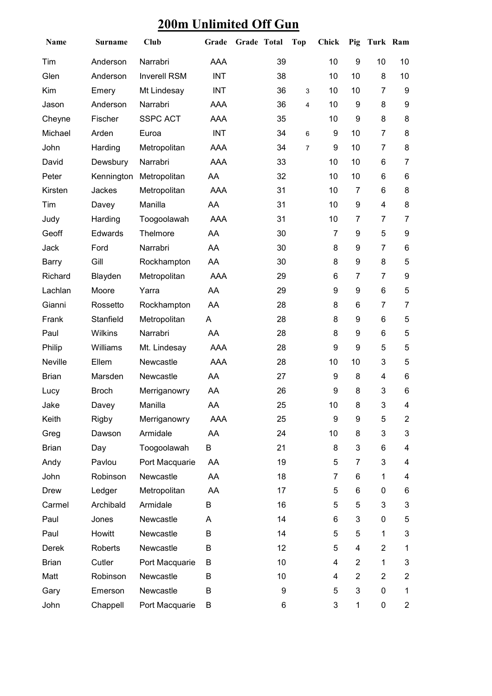# **200m Unlimited Off Gun**

| <b>Name</b>  | <b>Surname</b> | <b>Club</b>         | Grade      | Grade Total |    | <b>Top</b>     | <b>Chick</b>   | Pig            | Turk Ram       |                         |
|--------------|----------------|---------------------|------------|-------------|----|----------------|----------------|----------------|----------------|-------------------------|
| Tim          | Anderson       | Narrabri            | AAA        |             | 39 |                | 10             | 9              | 10             | 10                      |
| Glen         | Anderson       | <b>Inverell RSM</b> | <b>INT</b> |             | 38 |                | 10             | 10             | 8              | 10                      |
| Kim          | Emery          | Mt Lindesay         | <b>INT</b> |             | 36 | $\mathsf 3$    | 10             | 10             | $\overline{7}$ | 9                       |
| Jason        | Anderson       | Narrabri            | AAA        |             | 36 | 4              | 10             | 9              | 8              | 9                       |
| Cheyne       | Fischer        | <b>SSPC ACT</b>     | AAA        |             | 35 |                | 10             | 9              | 8              | 8                       |
| Michael      | Arden          | Euroa               | <b>INT</b> |             | 34 | 6              | 9              | 10             | 7              | 8                       |
| John         | Harding        | Metropolitan        | AAA        |             | 34 | $\overline{7}$ | 9              | 10             | $\overline{7}$ | $\bf 8$                 |
| David        | Dewsbury       | Narrabri            | <b>AAA</b> |             | 33 |                | 10             | 10             | 6              | $\overline{7}$          |
| Peter        | Kennington     | Metropolitan        | AA         |             | 32 |                | 10             | 10             | 6              | 6                       |
| Kirsten      | Jackes         | Metropolitan        | AAA        |             | 31 |                | 10             | $\overline{7}$ | 6              | 8                       |
| Tim          | Davey          | Manilla             | AA         |             | 31 |                | 10             | 9              | 4              | $\bf 8$                 |
| Judy         | Harding        | Toogoolawah         | <b>AAA</b> |             | 31 |                | 10             | $\overline{7}$ | 7              | $\overline{7}$          |
| Geoff        | Edwards        | Thelmore            | AA         |             | 30 |                | $\overline{7}$ | 9              | 5              | 9                       |
| Jack         | Ford           | Narrabri            | AA         |             | 30 |                | 8              | 9              | $\overline{7}$ | 6                       |
| Barry        | Gill           | Rockhampton         | AA         |             | 30 |                | 8              | 9              | 8              | 5                       |
| Richard      | Blayden        | Metropolitan        | <b>AAA</b> |             | 29 |                | 6              | $\overline{7}$ | $\overline{7}$ | 9                       |
| Lachlan      | Moore          | Yarra               | AA         |             | 29 |                | 9              | 9              | 6              | 5                       |
| Gianni       | Rossetto       | Rockhampton         | AA         |             | 28 |                | 8              | 6              | 7              | $\overline{7}$          |
| Frank        | Stanfield      | Metropolitan        | A          |             | 28 |                | 8              | 9              | 6              | 5                       |
| Paul         | Wilkins        | Narrabri            | AA         |             | 28 |                | 8              | 9              | 6              | $\mathbf 5$             |
| Philip       | Williams       | Mt. Lindesay        | <b>AAA</b> |             | 28 |                | 9              | 9              | 5              | 5                       |
| Neville      | Ellem          | Newcastle           | AAA        |             | 28 |                | 10             | 10             | 3              | 5                       |
| <b>Brian</b> | Marsden        | Newcastle           | AA         |             | 27 |                | 9              | 8              | 4              | $\,6$                   |
| Lucy         | <b>Broch</b>   | Merriganowry        | AA         |             | 26 |                | 9              | 8              | 3              | $\,6$                   |
| Jake         | Davey          | Manilla             | AA         |             | 25 |                | 10             | 8              | 3              | 4                       |
| Keith        | <b>Rigby</b>   | Merriganowry        | AAA        |             | 25 |                | 9              | 9              | 5              | $\overline{2}$          |
| Greg         | Dawson         | Armidale            | AA         |             | 24 |                | 10             | 8              | 3              | 3                       |
| <b>Brian</b> | Day            | Toogoolawah         | B          |             | 21 |                | 8              | 3              | 6              | 4                       |
| Andy         | Pavlou         | Port Macquarie      | AA         |             | 19 |                | 5              | $\overline{7}$ | 3              | $\overline{\mathbf{4}}$ |
| John         | Robinson       | Newcastle           | AA         |             | 18 |                | $\overline{7}$ | 6              | 1              | $\overline{\mathbf{4}}$ |
| Drew         | Ledger         | Metropolitan        | AA         |             | 17 |                | 5              | 6              | 0              | $\,6$                   |
| Carmel       | Archibald      | Armidale            | B          |             | 16 |                | 5              | 5              | 3              | $\sqrt{3}$              |
| Paul         | Jones          | Newcastle           | A          |             | 14 |                | 6              | 3              | 0              | 5                       |
| Paul         | Howitt         | Newcastle           | B          |             | 14 |                | 5              | 5              | 1              | $\mathbf{3}$            |
| Derek        | Roberts        | Newcastle           | B          |             | 12 |                | 5              | 4              | $\overline{2}$ | 1                       |
| <b>Brian</b> | Cutler         | Port Macquarie      | Β          |             | 10 |                | 4              | $\overline{2}$ | $\mathbf{1}$   | 3                       |
| Matt         | Robinson       | Newcastle           | Β          |             | 10 |                | 4              | $\overline{2}$ | $\overline{2}$ | $\overline{2}$          |
| Gary         | Emerson        | Newcastle           | B          |             | 9  |                | 5              | 3              | 0              | $\mathbf 1$             |
| John         | Chappell       | Port Macquarie      | Β          |             | 6  |                | 3              | 1              | 0              | $\overline{c}$          |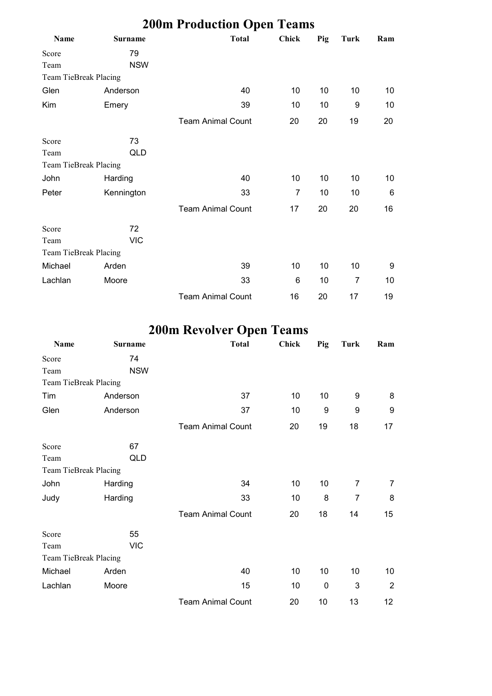|                       | <b>200m Production Open Teams</b> |                          |              |     |      |     |  |  |  |  |  |
|-----------------------|-----------------------------------|--------------------------|--------------|-----|------|-----|--|--|--|--|--|
| Name                  | <b>Surname</b>                    | <b>Total</b>             | <b>Chick</b> | Pig | Turk | Ram |  |  |  |  |  |
| Score                 | 79                                |                          |              |     |      |     |  |  |  |  |  |
| Team                  | <b>NSW</b>                        |                          |              |     |      |     |  |  |  |  |  |
| Team TieBreak Placing |                                   |                          |              |     |      |     |  |  |  |  |  |
| Glen                  | Anderson                          | 40                       | 10           | 10  | 10   | 10  |  |  |  |  |  |
| Kim                   | Emery                             | 39                       | 10           | 10  | 9    | 10  |  |  |  |  |  |
|                       |                                   | <b>Team Animal Count</b> | 20           | 20  | 19   | 20  |  |  |  |  |  |
| Score                 | 73                                |                          |              |     |      |     |  |  |  |  |  |
| Team                  | <b>QLD</b>                        |                          |              |     |      |     |  |  |  |  |  |
| Team TieBreak Placing |                                   |                          |              |     |      |     |  |  |  |  |  |
| John                  | Harding                           | 40                       | 10           | 10  | 10   | 10  |  |  |  |  |  |
| Peter                 | Kennington                        | 33                       | 7            | 10  | 10   | 6   |  |  |  |  |  |
|                       |                                   | <b>Team Animal Count</b> | 17           | 20  | 20   | 16  |  |  |  |  |  |
| Score                 | 72                                |                          |              |     |      |     |  |  |  |  |  |
| Team                  | <b>VIC</b>                        |                          |              |     |      |     |  |  |  |  |  |
| Team TieBreak Placing |                                   |                          |              |     |      |     |  |  |  |  |  |
| Michael               | Arden                             | 39                       | 10           | 10  | 10   | 9   |  |  |  |  |  |
| Lachlan               | Moore                             | 33                       | 6            | 10  | 7    | 10  |  |  |  |  |  |
|                       |                                   | <b>Team Animal Count</b> | 16           | 20  | 17   | 19  |  |  |  |  |  |

# **200m Revolver Open Teams**

| Name                  | <b>Surname</b> | <b>Total</b>             | <b>Chick</b> | Pig | Turk | Ram            |
|-----------------------|----------------|--------------------------|--------------|-----|------|----------------|
| Score                 | 74             |                          |              |     |      |                |
| Team                  | <b>NSW</b>     |                          |              |     |      |                |
| Team TieBreak Placing |                |                          |              |     |      |                |
| Tim                   | Anderson       | 37                       | 10           | 10  | 9    | 8              |
| Glen                  | Anderson       | 37                       | 10           | 9   | 9    | 9              |
|                       |                | <b>Team Animal Count</b> | 20           | 19  | 18   | 17             |
| Score                 | 67             |                          |              |     |      |                |
| Team                  | QLD            |                          |              |     |      |                |
| Team TieBreak Placing |                |                          |              |     |      |                |
| John                  | Harding        | 34                       | 10           | 10  | 7    | 7              |
| Judy                  | Harding        | 33                       | 10           | 8   | 7    | 8              |
|                       |                | <b>Team Animal Count</b> | 20           | 18  | 14   | 15             |
| Score                 | 55             |                          |              |     |      |                |
| Team                  | <b>VIC</b>     |                          |              |     |      |                |
| Team TieBreak Placing |                |                          |              |     |      |                |
| Michael               | Arden          | 40                       | 10           | 10  | 10   | 10             |
| Lachlan               | Moore          | 15                       | 10           | 0   | 3    | $\overline{2}$ |
|                       |                | <b>Team Animal Count</b> | 20           | 10  | 13   | 12             |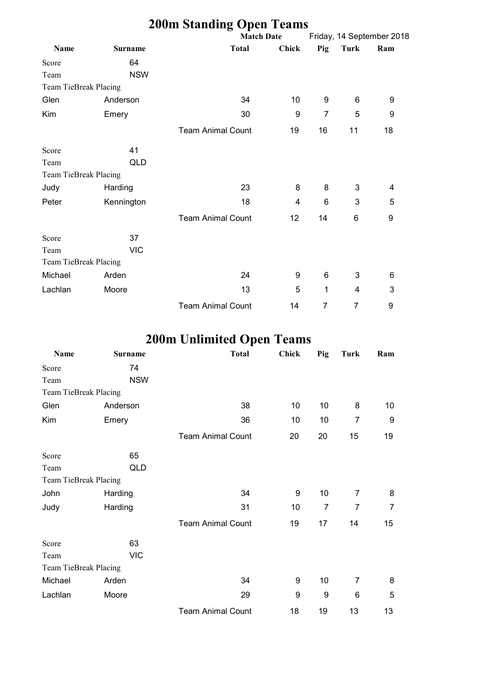|                       |                | <b>200m Standing Open Teams</b> |              |                |             |                           |
|-----------------------|----------------|---------------------------------|--------------|----------------|-------------|---------------------------|
|                       |                | <b>Match Date</b>               |              |                |             | Friday, 14 September 2018 |
| <b>Name</b>           | <b>Surname</b> | <b>Total</b>                    | <b>Chick</b> | Pig            | <b>Turk</b> | Ram                       |
| Score                 | 64             |                                 |              |                |             |                           |
| Team                  | <b>NSW</b>     |                                 |              |                |             |                           |
| Team TieBreak Placing |                |                                 |              |                |             |                           |
| Glen                  | Anderson       | 34                              | 10           | 9              | 6           | 9                         |
| Kim                   | Emery          | 30                              | 9            | 7              | 5           | 9                         |
|                       |                | <b>Team Animal Count</b>        | 19           | 16             | 11          | 18                        |
| Score                 | 41             |                                 |              |                |             |                           |
| Team                  | <b>QLD</b>     |                                 |              |                |             |                           |
| Team TieBreak Placing |                |                                 |              |                |             |                           |
| Judy                  | Harding        | 23                              | 8            | 8              | 3           | 4                         |
| Peter                 | Kennington     | 18                              | 4            | 6              | 3           | 5                         |
|                       |                | <b>Team Animal Count</b>        | 12           | 14             | 6           | 9                         |
| Score                 | 37             |                                 |              |                |             |                           |
| Team                  | <b>VIC</b>     |                                 |              |                |             |                           |
| Team TieBreak Placing |                |                                 |              |                |             |                           |
| Michael               | Arden          | 24                              | 9            | 6              | 3           | 6                         |
| Lachlan               | Moore          | 13                              | 5            | 1              | 4           | 3                         |
|                       |                | <b>Team Animal Count</b>        | 14           | $\overline{7}$ | 7           | 9                         |

## **200m Unlimited Open Teams**

| Name                  | <b>Surname</b> | л.<br><b>Total</b>       | <b>Chick</b> | Pig            | Turk           | Ram            |
|-----------------------|----------------|--------------------------|--------------|----------------|----------------|----------------|
|                       |                |                          |              |                |                |                |
| Score                 | 74             |                          |              |                |                |                |
| Team                  | <b>NSW</b>     |                          |              |                |                |                |
| Team TieBreak Placing |                |                          |              |                |                |                |
| Glen                  | Anderson       | 38                       | 10           | 10             | 8              | 10             |
| Kim                   | Emery          | 36                       | 10           | 10             | 7              | 9              |
|                       |                | <b>Team Animal Count</b> | 20           | 20             | 15             | 19             |
| Score                 | 65             |                          |              |                |                |                |
| Team                  | QLD            |                          |              |                |                |                |
| Team TieBreak Placing |                |                          |              |                |                |                |
| John                  | Harding        | 34                       | 9            | 10             | 7              | 8              |
| Judy                  | Harding        | 31                       | 10           | $\overline{7}$ | $\overline{7}$ | $\overline{7}$ |
|                       |                | <b>Team Animal Count</b> | 19           | 17             | 14             | 15             |
| Score                 | 63             |                          |              |                |                |                |
| Team                  | <b>VIC</b>     |                          |              |                |                |                |
| Team TieBreak Placing |                |                          |              |                |                |                |
| Michael               | Arden          | 34                       | 9            | 10             | 7              | 8              |
| Lachlan               | Moore          | 29                       | 9            | 9              | 6              | 5              |
|                       |                | <b>Team Animal Count</b> | 18           | 19             | 13             | 13             |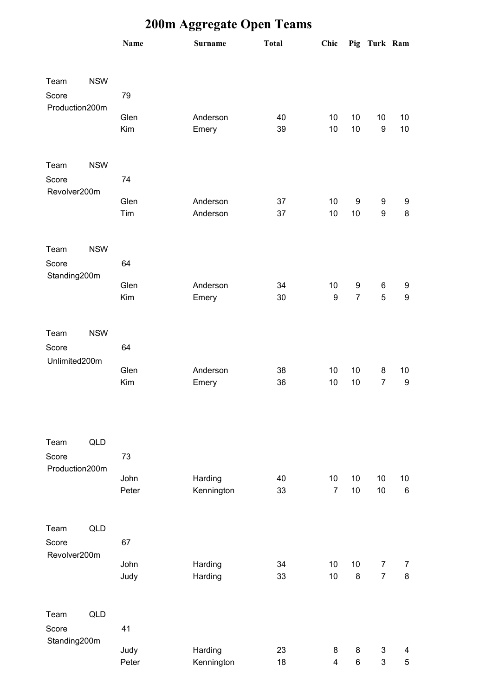# **200m Aggregate Open Teams**

|                |            | <b>Name</b> | <b>Surname</b> | <b>Total</b> | Chic                    |                  | Pig Turk Ram        |                  |
|----------------|------------|-------------|----------------|--------------|-------------------------|------------------|---------------------|------------------|
|                |            |             |                |              |                         |                  |                     |                  |
| Team           | <b>NSW</b> |             |                |              |                         |                  |                     |                  |
| Score          |            | 79          |                |              |                         |                  |                     |                  |
| Production200m |            | Glen        | Anderson       | 40           | 10                      | 10               | 10                  | 10 <sup>°</sup>  |
|                |            | Kim         | Emery          | 39           | 10                      | 10               | $\boldsymbol{9}$    | 10               |
|                |            |             |                |              |                         |                  |                     |                  |
| Team           | <b>NSW</b> |             |                |              |                         |                  |                     |                  |
| Score          |            | 74          |                |              |                         |                  |                     |                  |
| Revolver200m   |            |             |                |              |                         |                  |                     |                  |
|                |            | Glen        | Anderson       | 37           | 10                      | $\boldsymbol{9}$ | 9                   | 9                |
|                |            | Tim         | Anderson       | 37           | 10                      | 10               | $\boldsymbol{9}$    | $\bf 8$          |
| Team           | <b>NSW</b> |             |                |              |                         |                  |                     |                  |
| Score          |            | 64          |                |              |                         |                  |                     |                  |
| Standing200m   |            |             |                |              |                         |                  |                     |                  |
|                |            | Glen        | Anderson       | 34           | 10                      | 9                | 6                   | 9                |
|                |            | Kim         | Emery          | 30           | $\boldsymbol{9}$        | $\overline{7}$   | 5                   | $\boldsymbol{9}$ |
|                |            |             |                |              |                         |                  |                     |                  |
| Team           | <b>NSW</b> |             |                |              |                         |                  |                     |                  |
| Score          |            | 64          |                |              |                         |                  |                     |                  |
| Unlimited200m  |            |             |                |              |                         |                  |                     |                  |
|                |            | Glen<br>Kim | Anderson       | 38           | 10<br>10                | 10<br>10         | 8<br>$\overline{7}$ | 10 <sup>°</sup>  |
|                |            |             | Emery          | 36           |                         |                  |                     | 9                |
|                |            |             |                |              |                         |                  |                     |                  |
| Team           | QLD        |             |                |              |                         |                  |                     |                  |
| Score          |            | 73          |                |              |                         |                  |                     |                  |
| Production200m |            |             |                |              |                         |                  |                     |                  |
|                |            | John        | Harding        | 40           | 10                      | 10               | 10                  | 10               |
|                |            | Peter       | Kennington     | 33           | $\overline{7}$          | 10               | 10                  | $\,6\,$          |
|                |            |             |                |              |                         |                  |                     |                  |
| Team           | QLD        |             |                |              |                         |                  |                     |                  |
| Score          |            | 67          |                |              |                         |                  |                     |                  |
| Revolver200m   |            | John        | Harding        | 34           | 10                      | 10               | $\overline{7}$      | $\overline{7}$   |
|                |            | Judy        | Harding        | 33           | 10                      | 8                | $\overline{7}$      | 8                |
|                |            |             |                |              |                         |                  |                     |                  |
| Team           | QLD        |             |                |              |                         |                  |                     |                  |
| Score          |            | 41          |                |              |                         |                  |                     |                  |
| Standing200m   |            |             |                |              |                         |                  |                     |                  |
|                |            | Judy        | Harding        | 23           | 8                       | 8                | 3                   | 4                |
|                |            | Peter       | Kennington     | 18           | $\overline{\mathbf{4}}$ | 6                | 3                   | 5                |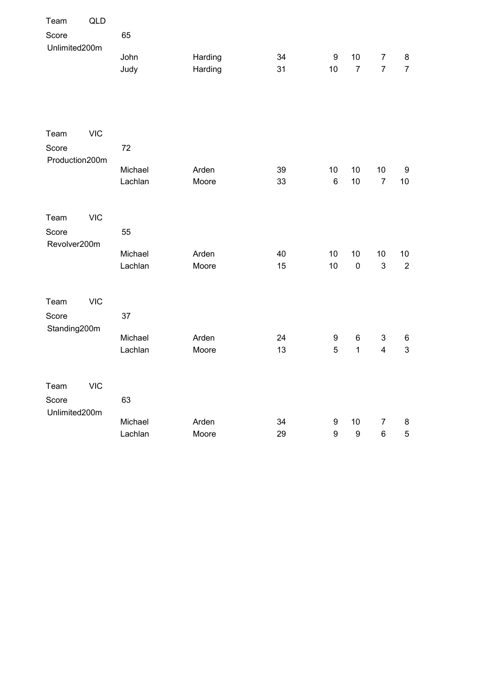| Team                  | QLD        |         |         |    |                  |                  |                |                |
|-----------------------|------------|---------|---------|----|------------------|------------------|----------------|----------------|
| Score                 |            | 65      |         |    |                  |                  |                |                |
| Unlimited200m         |            |         |         |    |                  |                  |                |                |
|                       |            | John    | Harding | 34 | $\boldsymbol{9}$ | 10               | $\overline{7}$ | 8              |
|                       |            | Judy    | Harding | 31 | 10               | $\overline{7}$   | $\overline{7}$ | $\overline{7}$ |
|                       |            |         |         |    |                  |                  |                |                |
|                       |            |         |         |    |                  |                  |                |                |
|                       |            |         |         |    |                  |                  |                |                |
| Team                  | <b>VIC</b> |         |         |    |                  |                  |                |                |
| Score                 |            | 72      |         |    |                  |                  |                |                |
| Production200m        |            |         |         |    |                  |                  |                |                |
|                       |            | Michael | Arden   | 39 | 10               | 10               | 10             | 9              |
|                       |            | Lachlan | Moore   | 33 | $\,6$            | 10               | $\overline{7}$ | 10             |
|                       |            |         |         |    |                  |                  |                |                |
| Team                  | <b>VIC</b> |         |         |    |                  |                  |                |                |
| Score                 |            | 55      |         |    |                  |                  |                |                |
| Revolver200m          |            |         |         |    |                  |                  |                |                |
|                       |            | Michael | Arden   | 40 | 10               | 10               | 10             | 10             |
|                       |            | Lachlan | Moore   | 15 | 10               | $\pmb{0}$        | 3              | $\overline{2}$ |
|                       |            |         |         |    |                  |                  |                |                |
| Team                  | <b>VIC</b> |         |         |    |                  |                  |                |                |
|                       |            | 37      |         |    |                  |                  |                |                |
| Score<br>Standing200m |            |         |         |    |                  |                  |                |                |
|                       |            | Michael | Arden   | 24 | 9                | 6                | 3              | 6              |
|                       |            | Lachlan | Moore   | 13 | 5                | $\mathbf{1}$     | $\overline{4}$ | 3              |
|                       |            |         |         |    |                  |                  |                |                |
|                       |            |         |         |    |                  |                  |                |                |
| Team                  | <b>VIC</b> |         |         |    |                  |                  |                |                |
| Score                 |            | 63      |         |    |                  |                  |                |                |
| Unlimited200m         |            | Michael | Arden   | 34 | 9                | 10               | $\overline{7}$ |                |
|                       |            | Lachlan | Moore   | 29 | 9                | $\boldsymbol{9}$ | $\,6\,$        | 8<br>5         |
|                       |            |         |         |    |                  |                  |                |                |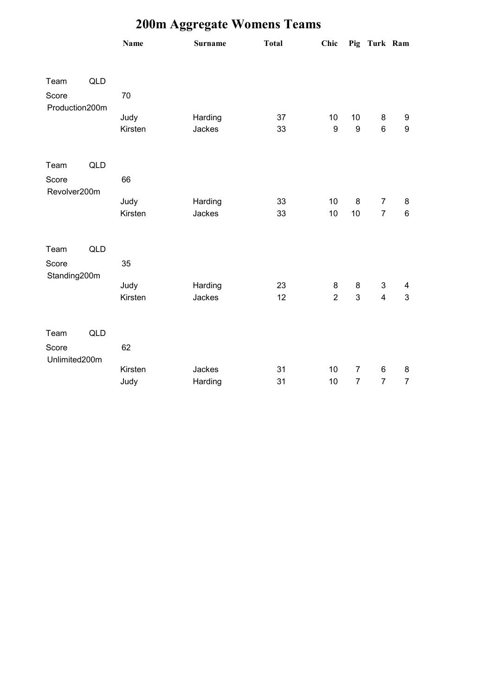|                        |     | Name    | <b>Surname</b> | <b>Total</b> | Chic             |                  | Pig Turk Ram   |                |
|------------------------|-----|---------|----------------|--------------|------------------|------------------|----------------|----------------|
| Team                   | QLD |         |                |              |                  |                  |                |                |
| Score                  |     | 70      |                |              |                  |                  |                |                |
| Production200m         |     | Judy    | Harding        | 37           | 10               | 10               | 8              | 9              |
|                        |     | Kirsten | Jackes         | 33           | $\boldsymbol{9}$ | $\boldsymbol{9}$ | 6              | 9              |
|                        |     |         |                |              |                  |                  |                |                |
| Team                   | QLD |         |                |              |                  |                  |                |                |
| Score                  |     | 66      |                |              |                  |                  |                |                |
| Revolver200m           |     | Judy    | Harding        | 33           | 10               | $\bf 8$          | $\overline{7}$ | 8              |
|                        |     | Kirsten | Jackes         | 33           | 10               | 10               | $\overline{7}$ | $\,6\,$        |
|                        |     |         |                |              |                  |                  |                |                |
| Team                   | QLD |         |                |              |                  |                  |                |                |
| Score<br>Standing200m  |     | 35      |                |              |                  |                  |                |                |
|                        |     | Judy    | Harding        | 23           | 8                | 8                | $\mathfrak{S}$ | $\overline{4}$ |
|                        |     | Kirsten | Jackes         | 12           | $\overline{2}$   | 3                | $\overline{4}$ | $\mathfrak{S}$ |
|                        |     |         |                |              |                  |                  |                |                |
| Team                   | QLD |         |                |              |                  |                  |                |                |
| Score<br>Unlimited200m |     | 62      |                |              |                  |                  |                |                |
|                        |     | Kirsten | Jackes         | 31           | 10               | $\overline{7}$   | 6              | 8              |
|                        |     | Judy    | Harding        | 31           | 10               | $\overline{7}$   | $\overline{7}$ | $\overline{7}$ |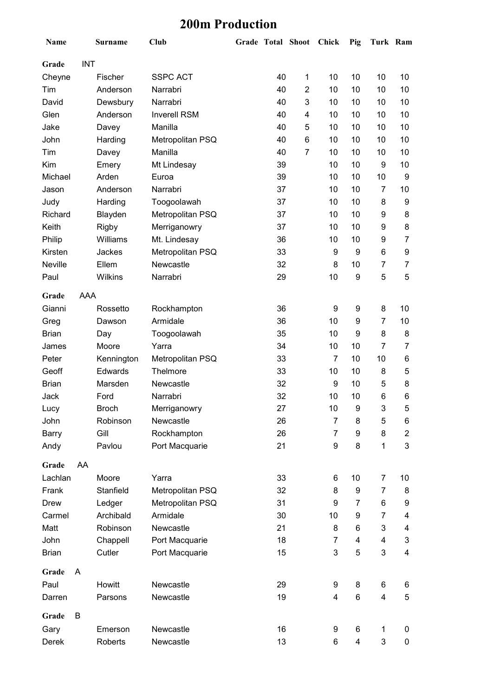### **200m Production**

| Name         |            | <b>Surname</b> | Club                | Grade Total Shoot |    |                         | <b>Chick</b>   | Pig | Turk Ram                  |                |
|--------------|------------|----------------|---------------------|-------------------|----|-------------------------|----------------|-----|---------------------------|----------------|
| Grade        | <b>INT</b> |                |                     |                   |    |                         |                |     |                           |                |
| Cheyne       |            | Fischer        | <b>SSPC ACT</b>     |                   | 40 | 1                       | 10             | 10  | 10                        | 10             |
| Tim          |            | Anderson       | Narrabri            |                   | 40 | $\overline{2}$          | 10             | 10  | 10                        | 10             |
| David        |            | Dewsbury       | Narrabri            |                   | 40 | 3                       | 10             | 10  | 10                        | 10             |
| Glen         |            | Anderson       | <b>Inverell RSM</b> |                   | 40 | $\overline{\mathbf{4}}$ | 10             | 10  | 10                        | 10             |
| Jake         |            | Davey          | Manilla             |                   | 40 | 5                       | 10             | 10  | 10                        | 10             |
| John         |            | Harding        | Metropolitan PSQ    |                   | 40 | $6\phantom{1}6$         | 10             | 10  | 10                        | 10             |
| Tim          |            | Davey          | Manilla             |                   | 40 | $\overline{7}$          | 10             | 10  | 10                        | 10             |
| Kim          |            | Emery          | Mt Lindesay         |                   | 39 |                         | 10             | 10  | 9                         | 10             |
| Michael      |            | Arden          | Euroa               |                   | 39 |                         | 10             | 10  | 10                        | 9              |
| Jason        |            | Anderson       | Narrabri            |                   | 37 |                         | 10             | 10  | $\overline{7}$            | 10             |
| Judy         |            | Harding        | Toogoolawah         |                   | 37 |                         | 10             | 10  | 8                         | 9              |
| Richard      |            | Blayden        | Metropolitan PSQ    |                   | 37 |                         | 10             | 10  | 9                         | 8              |
| Keith        |            | <b>Rigby</b>   | Merriganowry        |                   | 37 |                         | 10             | 10  | 9                         | 8              |
| Philip       |            | Williams       | Mt. Lindesay        |                   | 36 |                         | 10             | 10  | 9                         | $\overline{7}$ |
| Kirsten      |            | Jackes         | Metropolitan PSQ    |                   | 33 |                         | 9              | 9   | 6                         | 9              |
| Neville      |            | Ellem          | Newcastle           |                   | 32 |                         | 8              | 10  | $\overline{7}$            | $\overline{7}$ |
| Paul         |            | <b>Wilkins</b> | Narrabri            |                   | 29 |                         | 10             | 9   | 5                         | 5              |
| Grade        | <b>AAA</b> |                |                     |                   |    |                         |                |     |                           |                |
| Gianni       |            | Rossetto       | Rockhampton         |                   | 36 |                         | 9              | 9   | 8                         | 10             |
| Greg         |            | Dawson         | Armidale            |                   | 36 |                         | 10             | 9   | $\overline{7}$            | 10             |
| <b>Brian</b> |            | Day            | Toogoolawah         |                   | 35 |                         | 10             | 9   | 8                         | 8              |
| James        |            | Moore          | Yarra               |                   | 34 |                         | 10             | 10  | $\overline{7}$            | $\overline{7}$ |
| Peter        |            | Kennington     | Metropolitan PSQ    |                   | 33 |                         | 7              | 10  | 10                        | 6              |
| Geoff        |            | Edwards        | Thelmore            |                   | 33 |                         | 10             | 10  | 8                         | 5              |
| <b>Brian</b> |            | Marsden        | Newcastle           |                   | 32 |                         | 9              | 10  | 5                         | 8              |
| Jack         |            | Ford           | Narrabri            |                   | 32 |                         | 10             | 10  | 6                         | 6              |
| Lucy         |            | <b>Broch</b>   | Merriganowry        |                   | 27 |                         | 10             | 9   | $\ensuremath{\mathsf{3}}$ | 5              |
| John         |            | Robinson       | Newcastle           |                   | 26 |                         | $\overline{7}$ | 8   | 5                         | 6              |
| Barry        |            | Gill           | Rockhampton         |                   | 26 |                         | 7              | 9   | 8                         | $\overline{2}$ |
| Andy         |            | Pavlou         | Port Macquarie      |                   | 21 |                         | 9              | 8   | 1                         | 3              |
| Grade        | AA         |                |                     |                   |    |                         |                |     |                           |                |
| Lachlan      |            | Moore          | Yarra               |                   | 33 |                         | 6              | 10  | $\overline{7}$            | 10             |
| Frank        |            | Stanfield      | Metropolitan PSQ    |                   | 32 |                         | 8              | 9   | $\overline{7}$            | 8              |
| <b>Drew</b>  |            | Ledger         | Metropolitan PSQ    |                   | 31 |                         | 9              | 7   | 6                         | 9              |
| Carmel       |            | Archibald      | Armidale            |                   | 30 |                         | 10             | 9   | $\overline{7}$            | 4              |
| Matt         |            | Robinson       | Newcastle           |                   | 21 |                         | 8              | 6   | 3                         | 4              |
| John         |            | Chappell       | Port Macquarie      |                   | 18 |                         | $\overline{7}$ | 4   | 4                         | 3              |
| <b>Brian</b> |            | Cutler         | Port Macquarie      |                   | 15 |                         | 3              | 5   | $\mathbf{3}$              | 4              |
| Grade        | A          |                |                     |                   |    |                         |                |     |                           |                |
| Paul         |            | Howitt         | Newcastle           |                   | 29 |                         | 9              | 8   | 6                         | 6              |
| Darren       |            | Parsons        | Newcastle           |                   | 19 |                         | 4              | 6   | $\overline{\mathbf{4}}$   | 5              |
| Grade        | B          |                |                     |                   |    |                         |                |     |                           |                |
| Gary         |            | Emerson        | Newcastle           |                   | 16 |                         | 9              | 6   | 1                         | 0              |
| Derek        |            | Roberts        | Newcastle           |                   | 13 |                         | 6              | 4   | 3                         | 0              |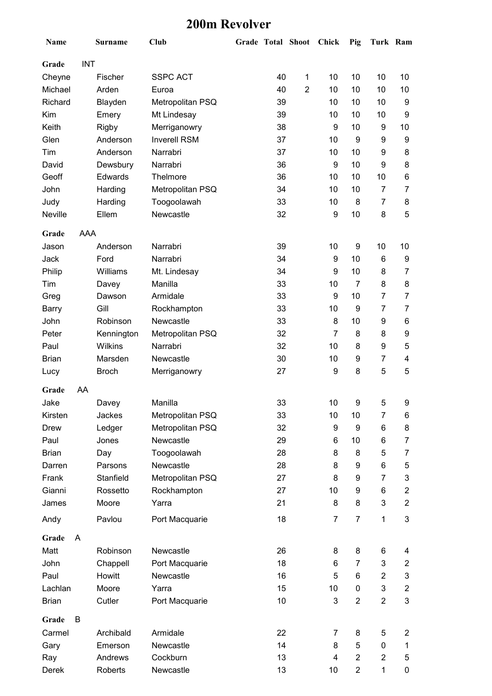#### **200m Revolver**

| Name         |            | Surname        | Club                |    | Grade Total Shoot Chick |                | Pig            | Turk Ram       |                |
|--------------|------------|----------------|---------------------|----|-------------------------|----------------|----------------|----------------|----------------|
| Grade        | <b>INT</b> |                |                     |    |                         |                |                |                |                |
| Cheyne       |            | Fischer        | <b>SSPC ACT</b>     | 40 | 1                       | 10             | 10             | 10             | 10             |
| Michael      |            | Arden          | Euroa               | 40 | $\overline{2}$          | 10             | 10             | 10             | 10             |
| Richard      |            | Blayden        | Metropolitan PSQ    | 39 |                         | 10             | 10             | 10             | 9              |
| Kim          |            | Emery          | Mt Lindesay         | 39 |                         | 10             | 10             | 10             | 9              |
| Keith        |            | Rigby          | Merriganowry        | 38 |                         | 9              | 10             | 9              | 10             |
| Glen         |            | Anderson       | <b>Inverell RSM</b> | 37 |                         | 10             | 9              | 9              | 9              |
| Tim          |            | Anderson       | Narrabri            | 37 |                         | 10             | 10             | 9              | 8              |
|              |            |                |                     |    |                         |                |                |                |                |
| David        |            | Dewsbury       | Narrabri            | 36 |                         | 9              | 10             | 9              | 8              |
| Geoff        |            | Edwards        | Thelmore            | 36 |                         | 10             | 10             | 10             | 6              |
| John         |            | Harding        | Metropolitan PSQ    | 34 |                         | 10             | 10             | 7              | 7              |
| Judy         |            | Harding        | Toogoolawah         | 33 |                         | 10             | 8              | 7              | 8              |
| Neville      |            | Ellem          | Newcastle           | 32 |                         | 9              | 10             | 8              | 5              |
| Grade        | AAA        |                |                     |    |                         |                |                |                |                |
| Jason        |            | Anderson       | Narrabri            | 39 |                         | 10             | 9              | 10             | 10             |
| Jack         |            | Ford           | Narrabri            | 34 |                         | 9              | 10             | 6              | 9              |
| Philip       |            | Williams       | Mt. Lindesay        | 34 |                         | 9              | 10             | 8              | $\overline{7}$ |
| Tim          |            | Davey          | Manilla             | 33 |                         | 10             | $\overline{7}$ | 8              | 8              |
| Greg         |            | Dawson         | Armidale            | 33 |                         | 9              | 10             | 7              | $\overline{7}$ |
| Barry        |            | Gill           | Rockhampton         | 33 |                         | 10             | 9              | 7              | 7              |
| John         |            | Robinson       | Newcastle           | 33 |                         | 8              | 10             | 9              | 6              |
| Peter        |            | Kennington     | Metropolitan PSQ    | 32 |                         | $\overline{7}$ | 8              | 8              | 9              |
| Paul         |            | <b>Wilkins</b> | Narrabri            | 32 |                         | 10             | 8              | 9              | 5              |
| <b>Brian</b> |            | Marsden        | Newcastle           | 30 |                         | 10             | 9              | 7              | 4              |
| Lucy         |            | <b>Broch</b>   | Merriganowry        | 27 |                         | 9              | 8              | 5              | 5              |
| Grade        | AA         |                |                     |    |                         |                |                |                |                |
| Jake         |            | Davey          | Manilla             | 33 |                         | 10             | 9              | 5              | 9              |
| Kirsten      |            | Jackes         | Metropolitan PSQ    | 33 |                         | 10             | 10             | $\overline{7}$ | 6              |
| <b>Drew</b>  |            | Ledger         | Metropolitan PSQ    | 32 |                         | 9              | 9              | 6              | 8              |
| Paul         |            | Jones          | Newcastle           | 29 |                         | 6              | 10             | 6              | $\overline{7}$ |
| <b>Brian</b> |            | Day            | Toogoolawah         | 28 |                         | 8              | 8              | 5              | 7              |
| Darren       |            | Parsons        | Newcastle           | 28 |                         | 8              | 9              | 6              | 5              |
| Frank        |            | Stanfield      | Metropolitan PSQ    | 27 |                         | 8              | 9              | 7              | 3              |
| Gianni       |            | Rossetto       | Rockhampton         | 27 |                         | 10             | 9              | 6              | $\overline{c}$ |
| James        |            | Moore          | Yarra               | 21 |                         | 8              | 8              | 3              | $\overline{2}$ |
| Andy         |            | Pavlou         | Port Macquarie      | 18 |                         | $\overline{7}$ | $\overline{7}$ | 1              | 3              |
| Grade        | A          |                |                     |    |                         |                |                |                |                |
| Matt         |            | Robinson       | Newcastle           | 26 |                         | 8              | 8              | 6              | 4              |
| John         |            | Chappell       | Port Macquarie      | 18 |                         | 6              | 7              | 3              | $\overline{c}$ |
| Paul         |            | Howitt         | Newcastle           | 16 |                         | 5              | 6              | $\overline{2}$ | 3              |
| Lachlan      |            | Moore          | Yarra               | 15 |                         | 10             | 0              | 3              | $\overline{c}$ |
| <b>Brian</b> |            | Cutler         | Port Macquarie      | 10 |                         | 3              | $\overline{2}$ | $\overline{2}$ | 3              |
|              |            |                |                     |    |                         |                |                |                |                |
| Grade        | B          |                |                     |    |                         |                |                |                |                |
| Carmel       |            | Archibald      | Armidale            | 22 |                         | 7              | 8              | 5              | $\overline{2}$ |
| Gary         |            | Emerson        | Newcastle           | 14 |                         | 8              | 5              | 0              | $\mathbf{1}$   |
| Ray          |            | Andrews        | Cockburn            | 13 |                         | 4              | $\overline{2}$ | $\overline{c}$ | 5              |
| Derek        |            | Roberts        | Newcastle           | 13 |                         | 10             | $\overline{2}$ | 1              | 0              |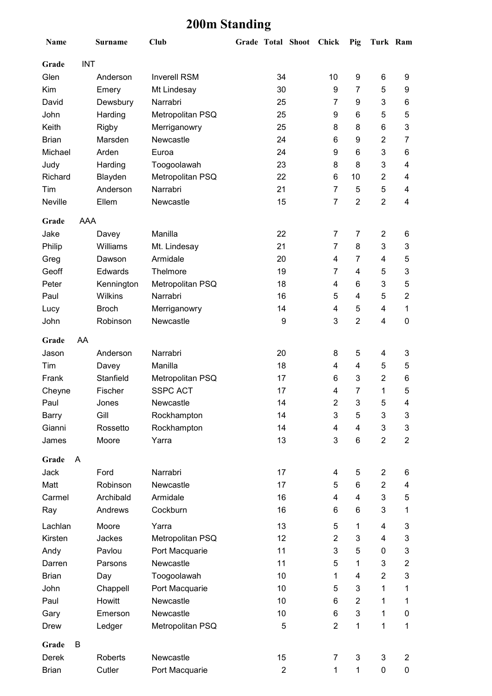# **200m Standing**

| Name          |            | <b>Surname</b> | Club                |                | <b>Grade Total Shoot</b> | Chick          | Pig            | Turk Ram                  |                |
|---------------|------------|----------------|---------------------|----------------|--------------------------|----------------|----------------|---------------------------|----------------|
| Grade         | <b>INT</b> |                |                     |                |                          |                |                |                           |                |
| Glen          |            | Anderson       | <b>Inverell RSM</b> | 34             |                          | 10             | 9              | 6                         | 9              |
| Kim           |            | Emery          | Mt Lindesay         | 30             |                          | 9              | $\overline{7}$ | 5                         | 9              |
| David         |            | Dewsbury       | Narrabri            | 25             |                          | 7              | 9              | 3                         | 6              |
| John          |            | Harding        | Metropolitan PSQ    | 25             |                          | 9              | 6              | 5                         | 5              |
| Keith         |            | <b>Rigby</b>   | Merriganowry        | 25             |                          | 8              | 8              | 6                         | 3              |
| <b>Brian</b>  |            | Marsden        | Newcastle           | 24             |                          | 6              | 9              | $\boldsymbol{2}$          | $\overline{7}$ |
| Michael       |            | Arden          | Euroa               | 24             |                          | 9              | 6              | 3                         | 6              |
| Judy          |            | Harding        | Toogoolawah         | 23             |                          | 8              | 8              | 3                         | 4              |
| Richard       |            | Blayden        | Metropolitan PSQ    | 22             |                          | 6              | 10             | $\boldsymbol{2}$          | 4              |
| Tim           |            | Anderson       | Narrabri            | 21             |                          | 7              | 5              | 5                         | 4              |
| Neville       |            | Ellem          | Newcastle           | 15             |                          | 7              | $\overline{2}$ | $\overline{2}$            | 4              |
|               | <b>AAA</b> |                |                     |                |                          |                |                |                           |                |
| Grade<br>Jake |            | Davey          | Manilla             | 22             |                          | 7              | 7              | $\overline{2}$            | 6              |
| Philip        |            | Williams       | Mt. Lindesay        | 21             |                          | $\overline{7}$ | 8              | 3                         | 3              |
| Greg          |            | Dawson         | Armidale            | 20             |                          | 4              | 7              | 4                         | 5              |
| Geoff         |            | <b>Edwards</b> | Thelmore            | 19             |                          | 7              | 4              | 5                         | 3              |
| Peter         |            | Kennington     | Metropolitan PSQ    | 18             |                          | 4              | 6              | $\ensuremath{\mathsf{3}}$ | 5              |
| Paul          |            | Wilkins        | Narrabri            | 16             |                          | 5              | 4              | 5                         | $\overline{2}$ |
| Lucy          |            | <b>Broch</b>   | Merriganowry        | 14             |                          | 4              | 5              | 4                         | $\mathbf{1}$   |
| John          |            | Robinson       | Newcastle           | 9              |                          | 3              | $\overline{2}$ | 4                         | $\pmb{0}$      |
|               |            |                |                     |                |                          |                |                |                           |                |
| Grade         | AA         |                |                     |                |                          |                |                |                           |                |
| Jason         |            | Anderson       | Narrabri            | 20             |                          | 8              | 5              | 4                         | 3              |
| Tim           |            | Davey          | Manilla             | 18             |                          | 4              | 4              | 5                         | 5              |
| Frank         |            | Stanfield      | Metropolitan PSQ    | 17             |                          | 6              | 3              | $\overline{2}$            | 6              |
| Cheyne        |            | Fischer        | <b>SSPC ACT</b>     | 17             |                          | 4              | 7              | 1                         | 5              |
| Paul          |            | Jones          | <b>Newcastle</b>    | 14             |                          | $\overline{2}$ | 3              | 5                         | 4              |
| Barry         |            | Gill           | Rockhampton         | 14             |                          | 3              | 5              | 3                         | 3              |
| Gianni        |            | Rossetto       | Rockhampton         | 14             |                          | 4              | 4              | $\ensuremath{\mathsf{3}}$ | 3              |
| James         |            | Moore          | Yarra               | 13             |                          | 3              | 6              | $\overline{2}$            | $\overline{2}$ |
| Grade         | A          |                |                     |                |                          |                |                |                           |                |
| Jack          |            | Ford           | Narrabri            | 17             |                          | 4              | 5              | $\overline{2}$            | 6              |
| Matt          |            | Robinson       | Newcastle           | 17             |                          | 5              | 6              | $\overline{2}$            | 4              |
| Carmel        |            | Archibald      | Armidale            | 16             |                          | 4              | 4              | $\ensuremath{\mathsf{3}}$ | 5              |
| Ray           |            | Andrews        | Cockburn            | 16             |                          | 6              | 6              | 3                         | 1              |
| Lachlan       |            | Moore          | Yarra               | 13             |                          | 5              | 1              | 4                         | 3              |
| Kirsten       |            | Jackes         | Metropolitan PSQ    | 12             |                          | $\overline{2}$ | 3              | 4                         | 3              |
| Andy          |            | Pavlou         | Port Macquarie      | 11             |                          | 3              | 5              | 0                         | 3              |
| Darren        |            | Parsons        | Newcastle           | 11             |                          | 5              | 1              | 3                         | $\overline{2}$ |
| <b>Brian</b>  |            | Day            | Toogoolawah         | 10             |                          | 1              | 4              | $\overline{2}$            | 3              |
| John          |            | Chappell       | Port Macquarie      | 10             |                          | 5              | 3              | 1                         | 1              |
| Paul          |            | Howitt         | Newcastle           | 10             |                          | 6              | $\overline{2}$ | 1                         | 1              |
| Gary          |            | Emerson        | Newcastle           | 10             |                          | 6              | 3              | 1                         | 0              |
| Drew          |            | Ledger         | Metropolitan PSQ    | 5              |                          | $\overline{2}$ | 1              | $\mathbf 1$               | $\mathbf 1$    |
| Grade         | B          |                |                     |                |                          |                |                |                           |                |
| Derek         |            | Roberts        | Newcastle           | 15             |                          | 7              | 3              | 3                         | $\overline{2}$ |
| <b>Brian</b>  |            | Cutler         | Port Macquarie      | $\overline{2}$ |                          | $\mathbf 1$    | $\mathbf 1$    | $\boldsymbol{0}$          | 0              |
|               |            |                |                     |                |                          |                |                |                           |                |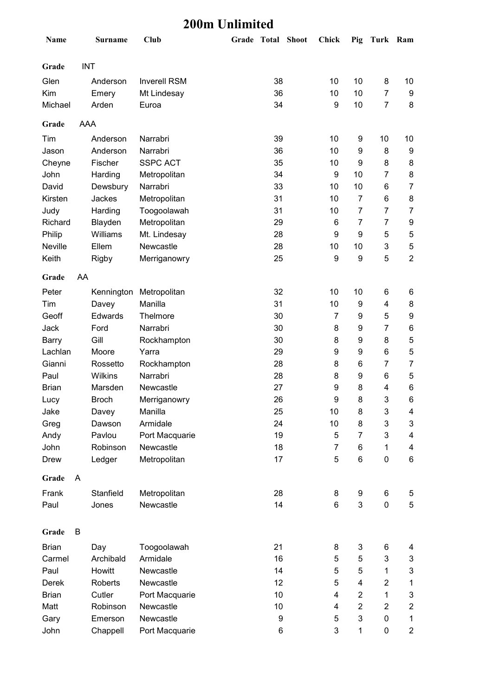#### **200m Unlimited**

| Name             |            | Surname         | <b>Club</b>          | Grade Total | <b>Shoot</b> | <b>Chick</b> | Pig            | Turk Ram       |                           |
|------------------|------------|-----------------|----------------------|-------------|--------------|--------------|----------------|----------------|---------------------------|
| Grade            | <b>INT</b> |                 |                      |             |              |              |                |                |                           |
| Glen             |            | Anderson        | <b>Inverell RSM</b>  | 38          |              | 10           | 10             | 8              | 10                        |
| Kim              |            | Emery           | Mt Lindesay          | 36          |              | 10           | 10             | $\overline{7}$ | 9                         |
| Michael          |            | Arden           | Euroa                | 34          |              | 9            | 10             | $\overline{7}$ | 8                         |
| Grade            | AAA        |                 |                      |             |              |              |                |                |                           |
| Tim              |            | Anderson        | Narrabri             | 39          |              | 10           | 9              | 10             | 10                        |
| Jason            |            | Anderson        | Narrabri             | 36          |              | 10           | 9              | 8              | 9                         |
| Cheyne           |            | Fischer         | <b>SSPC ACT</b>      | 35          |              | 10           | 9              | 8              | 8                         |
| John             |            | Harding         | Metropolitan         | 34          |              | 9            | 10             | 7              | 8                         |
| David            |            | Dewsbury        | Narrabri             | 33          |              | 10           | 10             | 6              | $\overline{7}$            |
| Kirsten          |            | Jackes          | Metropolitan         | 31          |              | 10           | $\overline{7}$ | 6              | 8                         |
| Judy             |            | Harding         | Toogoolawah          | 31          |              | 10           | $\overline{7}$ | $\overline{7}$ | $\overline{7}$            |
| Richard          |            | Blayden         | Metropolitan         | 29          |              | 6            | 7              | 7              | 9                         |
| Philip           |            | Williams        | Mt. Lindesay         | 28          |              | 9            | 9              | 5              | 5                         |
| Neville          |            | Ellem           | Newcastle            | 28          |              | 10           | 10             | 3              | $\mathbf 5$               |
| Keith            |            | Rigby           | Merriganowry         | 25          |              | 9            | 9              | 5              | $\overline{2}$            |
| Grade            | AA         |                 |                      |             |              |              |                |                |                           |
| Peter            |            | Kennington      | Metropolitan         | 32          |              | 10           | 10             | 6              | 6                         |
| Tim              |            | Davey           | Manilla              | 31          |              | 10           | 9              | 4              | 8                         |
| Geoff            |            | Edwards<br>Ford | Thelmore             | 30          |              | 7            | 9              | 5<br>7         | $\boldsymbol{9}$          |
| Jack             |            | Gill            | Narrabri             | 30<br>30    |              | 8<br>8       | 9<br>9         | 8              | 6<br>$\mathbf 5$          |
| Barry<br>Lachlan |            | Moore           | Rockhampton<br>Yarra | 29          |              | 9            | 9              | 6              | $\mathbf 5$               |
| Gianni           |            | Rossetto        | Rockhampton          | 28          |              | 8            | 6              | $\overline{7}$ | $\overline{7}$            |
| Paul             |            | Wilkins         | Narrabri             | 28          |              | 8            | 9              | 6              | 5                         |
| <b>Brian</b>     |            | Marsden         | Newcastle            | 27          |              | 9            | 8              | 4              | 6                         |
| Lucy             |            | <b>Broch</b>    | Merriganowry         | 26          |              | 9            | 8              | 3              | $6\phantom{1}6$           |
| Jake             |            | Davey           | Manilla              | 25          |              | 10           | 8              | 3              | 4                         |
| Greg             |            | Dawson          | Armidale             | 24          |              | 10           | 8              | 3              | 3                         |
| Andy             |            | Pavlou          | Port Macquarie       | 19          |              | 5            | $\overline{7}$ | 3              | 4                         |
| John             |            | Robinson        | Newcastle            | 18          |              | 7            | 6              | $\mathbf{1}$   | 4                         |
| Drew             |            | Ledger          | Metropolitan         | 17          |              | 5            | 6              | 0              | $\,6$                     |
| Grade            | A          |                 |                      |             |              |              |                |                |                           |
| Frank            |            | Stanfield       | Metropolitan         | 28          |              | 8            | 9              | 6              | 5                         |
| Paul             |            | Jones           | Newcastle            | 14          |              | 6            | 3              | $\pmb{0}$      | $\sqrt{5}$                |
| Grade            | B          |                 |                      |             |              |              |                |                |                           |
| <b>Brian</b>     |            | Day             | Toogoolawah          | 21          |              | 8            | 3              | 6              | 4                         |
| Carmel           |            | Archibald       | Armidale             | 16          |              | 5            | 5              | 3              | 3                         |
| Paul             |            | Howitt          | Newcastle            | 14          |              | 5            | 5              | $\mathbf{1}$   | $\ensuremath{\mathsf{3}}$ |
| Derek            |            | Roberts         | Newcastle            | 12          |              | 5            | 4              | $\overline{2}$ | 1                         |
| <b>Brian</b>     |            | Cutler          | Port Macquarie       | 10          |              | 4            | $\overline{2}$ | $\mathbf 1$    | $\ensuremath{\mathsf{3}}$ |
| Matt             |            | Robinson        | Newcastle            | 10          |              | 4            | $\overline{2}$ | $\overline{2}$ | $\boldsymbol{2}$          |
| Gary             |            | Emerson         | Newcastle            | 9           |              | 5            | 3              | 0              | $\mathbf{1}$              |
| John             |            | Chappell        | Port Macquarie       | 6           |              | 3            | 1              | 0              | $\overline{c}$            |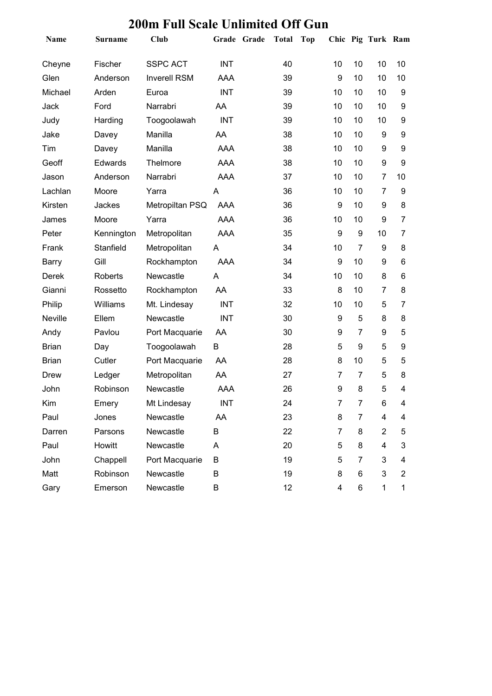| Name         | Surname    | <b>Club</b>         |            | Grade Grade | <b>Total</b> | <b>Top</b> |                |                | Chic Pig Turk Ram |                |
|--------------|------------|---------------------|------------|-------------|--------------|------------|----------------|----------------|-------------------|----------------|
| Cheyne       | Fischer    | <b>SSPC ACT</b>     | <b>INT</b> |             | 40           |            | 10             | 10             | 10                | 10             |
| Glen         | Anderson   | <b>Inverell RSM</b> | <b>AAA</b> |             | 39           |            | 9              | 10             | 10                | 10             |
| Michael      | Arden      | Euroa               | <b>INT</b> |             | 39           |            | 10             | 10             | 10                | 9              |
| Jack         | Ford       | Narrabri            | AA         |             | 39           |            | 10             | 10             | 10                | 9              |
| Judy         | Harding    | Toogoolawah         | <b>INT</b> |             | 39           |            | 10             | 10             | 10                | 9              |
| Jake         | Davey      | Manilla             | AA         |             | 38           |            | 10             | 10             | 9                 | 9              |
| Tim          | Davey      | Manilla             | <b>AAA</b> |             | 38           |            | 10             | 10             | 9                 | 9              |
| Geoff        | Edwards    | Thelmore            | <b>AAA</b> |             | 38           |            | 10             | 10             | 9                 | 9              |
| Jason        | Anderson   | Narrabri            | <b>AAA</b> |             | 37           |            | 10             | 10             | $\overline{7}$    | 10             |
| Lachlan      | Moore      | Yarra               | A          |             | 36           |            | 10             | 10             | 7                 | 9              |
| Kirsten      | Jackes     | Metropiltan PSQ     | AAA        |             | 36           |            | 9              | 10             | 9                 | 8              |
| James        | Moore      | Yarra               | <b>AAA</b> |             | 36           |            | 10             | 10             | 9                 | $\overline{7}$ |
| Peter        | Kennington | Metropolitan        | AAA        |             | 35           |            | 9              | 9              | 10                | $\overline{7}$ |
| Frank        | Stanfield  | Metropolitan        | A          |             | 34           |            | 10             | 7              | 9                 | 8              |
| Barry        | Gill       | Rockhampton         | <b>AAA</b> |             | 34           |            | 9              | 10             | 9                 | 6              |
| Derek        | Roberts    | Newcastle           | A          |             | 34           |            | 10             | 10             | 8                 | 6              |
| Gianni       | Rossetto   | Rockhampton         | AA         |             | 33           |            | 8              | 10             | 7                 | 8              |
| Philip       | Williams   | Mt. Lindesay        | <b>INT</b> |             | 32           |            | 10             | 10             | 5                 | $\overline{7}$ |
| Neville      | Ellem      | Newcastle           | <b>INT</b> |             | 30           |            | 9              | 5              | 8                 | 8              |
| Andy         | Pavlou     | Port Macquarie      | AA         |             | 30           |            | 9              | 7              | 9                 | 5              |
| Brian        | Day        | Toogoolawah         | B          |             | 28           |            | 5              | 9              | 5                 | 9              |
| <b>Brian</b> | Cutler     | Port Macquarie      | AA         |             | 28           |            | 8              | 10             | 5                 | 5              |
| Drew         | Ledger     | Metropolitan        | AA         |             | 27           |            | $\overline{7}$ | 7              | 5                 | 8              |
| John         | Robinson   | Newcastle           | <b>AAA</b> |             | 26           |            | 9              | 8              | 5                 | 4              |
| Kim          | Emery      | Mt Lindesay         | <b>INT</b> |             | 24           |            | 7              | 7              | 6                 | 4              |
| Paul         | Jones      | Newcastle           | AA         |             | 23           |            | 8              | 7              | 4                 | 4              |
| Darren       | Parsons    | Newcastle           | В          |             | 22           |            | 7              | 8              | $\overline{2}$    | 5              |
| Paul         | Howitt     | Newcastle           | A          |             | 20           |            | 5              | 8              | 4                 | 3              |
| John         | Chappell   | Port Macquarie      | B          |             | 19           |            | 5              | $\overline{7}$ | 3                 | 4              |
| Matt         | Robinson   | Newcastle           | B          |             | 19           |            | 8              | 6              | 3                 | 2              |
| Gary         | Emerson    | Newcastle           | В          |             | 12           |            | 4              | 6              | 1                 | 1              |

#### **200m Full Scale Unlimited Off Gun**